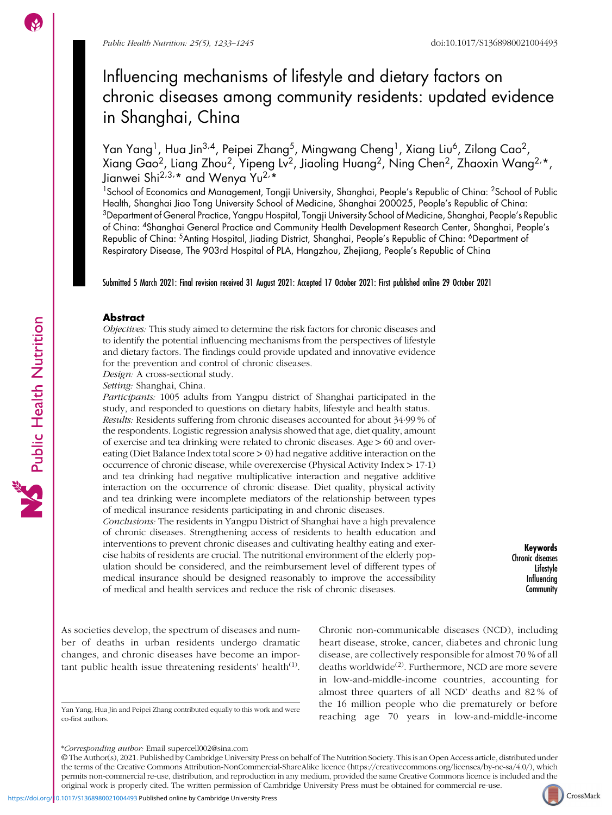# Influencing mechanisms of lifestyle and dietary factors on chronic diseases among community residents: updated evidence in Shanghai, China

Yan Yang<sup>1</sup>, Hua Jin<sup>3,4</sup>, Peipei Zhang<sup>5</sup>, Mingwang Cheng<sup>1</sup>, Xiang Liu<sup>6</sup>, Zilong Cao<sup>2</sup>, Xiang Gao<sup>2</sup>, Liang Zhou<sup>2</sup>, Yipeng Lv<sup>2</sup>, Jiaoling Huang<sup>2</sup>, Ning Chen<sup>2</sup>, Zhaoxin Wang<sup>2,</sup>\*, Jianwei Shi<sup>2,3,</sup>\* and Wenya Yu<sup>2,</sup>\*

<sup>1</sup>School of Economics and Management, Tongji University, Shanghai, People's Republic of China: <sup>2</sup>School of Public Health, Shanghai Jiao Tong University School of Medicine, Shanghai 200025, People's Republic of China: 3Department of General Practice, Yangpu Hospital, Tongji University School of Medicine, Shanghai, People's Republic of China: 4Shanghai General Practice and Community Health Development Research Center, Shanghai, People's Republic of China: <sup>5</sup>Anting Hospital, Jiading District, Shanghai, People's Republic of China: <sup>6</sup>Department of Respiratory Disease, The 903rd Hospital of PLA, Hangzhou, Zhejiang, People's Republic of China

Submitted 5 March 2021: Final revision received 31 August 2021: Accepted 17 October 2021: First published online 29 October 2021

#### **Abstract**

Objectives: This study aimed to determine the risk factors for chronic diseases and to identify the potential influencing mechanisms from the perspectives of lifestyle and dietary factors. The findings could provide updated and innovative evidence for the prevention and control of chronic diseases.

Design: A cross-sectional study.

Setting: Shanghai, China.

Participants: 1005 adults from Yangpu district of Shanghai participated in the study, and responded to questions on dietary habits, lifestyle and health status. Results: Residents suffering from chronic diseases accounted for about 34·99 % of the respondents. Logistic regression analysis showed that age, diet quality, amount of exercise and tea drinking were related to chronic diseases. Age > 60 and overeating (Diet Balance Index total score  $> 0$ ) had negative additive interaction on the occurrence of chronic disease, while overexercise (Physical Activity Index > 17·1) and tea drinking had negative multiplicative interaction and negative additive interaction on the occurrence of chronic disease. Diet quality, physical activity and tea drinking were incomplete mediators of the relationship between types of medical insurance residents participating in and chronic diseases.

Conclusions: The residents in Yangpu District of Shanghai have a high prevalence of chronic diseases. Strengthening access of residents to health education and interventions to prevent chronic diseases and cultivating healthy eating and exercise habits of residents are crucial. The nutritional environment of the elderly population should be considered, and the reimbursement level of different types of medical insurance should be designed reasonably to improve the accessibility of medical and health services and reduce the risk of chronic diseases.

Keywords Chronic diseases Lifestyle Influencing **Community** 

As societies develop, the spectrum of diseases and number of deaths in urban residents undergo dramatic changes, and chronic diseases have become an impor-tant public health issue threatening residents' health<sup>([1](#page-11-0))</sup>.

co-first authors.

Chronic non-communicable diseases (NCD), including heart disease, stroke, cancer, diabetes and chronic lung disease, are collectively responsible for almost 70 % of all deaths worldwide<sup>[\(2\)](#page-11-0)</sup>. Furthermore, NCD are more severe in low-and-middle-income countries, accounting for almost three quarters of all NCD' deaths and 82 % of the 16 million people who die prematurely or before reaching age 70 years in low-and-middle-income Yan Yang, Hua Jin and Peipei Zhang contributed equally to this work and were

© The Author(s), 2021. Published by Cambridge University Press on behalf of The Nutrition Society. This is an Open Access article, distributed under the terms of the Creative Commons Attribution-NonCommercial-ShareAlike licence [\(https://creativecommons.org/licenses/by-nc-sa/4.0/](https://creativecommons.org/licenses/by-nc-sa/4.0/)), which permits non-commercial re-use, distribution, and reproduction in any medium, provided the same Creative Commons licence is included and the original work is properly cited. The written permission of Cambridge University Press must be obtained for commercial re-use.



Public Health Nutrition

<sup>\*</sup>Corresponding author: Email supercell002@sina.com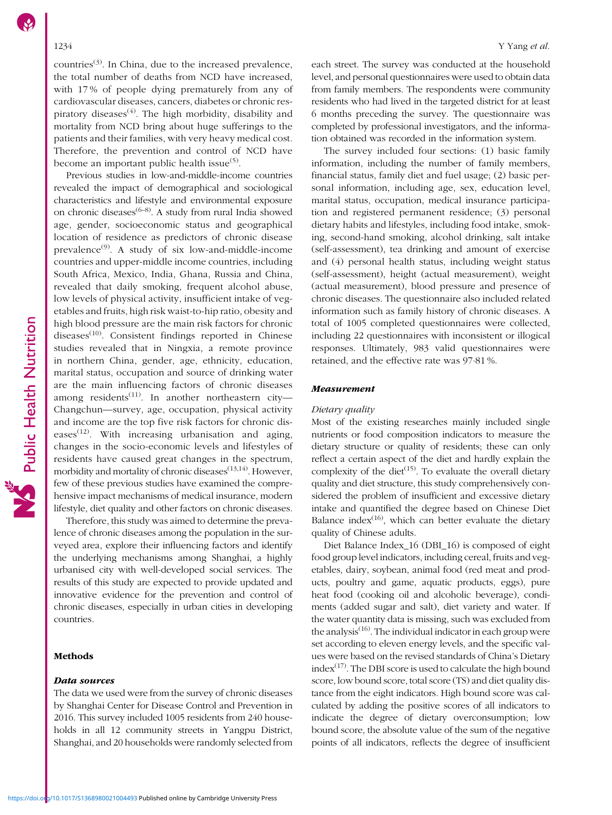countries $(3)$ . In China, due to the increased prevalence, the total number of deaths from NCD have increased, with 17 % of people dying prematurely from any of cardiovascular diseases, cancers, diabetes or chronic respiratory diseases<sup> $(4)$ </sup>. The high morbidity, disability and mortality from NCD bring about huge sufferings to the patients and their families, with very heavy medical cost. Therefore, the prevention and control of NCD have become an important public health issue $(5)$ .

Previous studies in low-and-middle-income countries revealed the impact of demographical and sociological characteristics and lifestyle and environmental exposure on chronic diseases<sup> $(6-8)$  $(6-8)$  $(6-8)$  $(6-8)$  $(6-8)$ </sup>. A study from rural India showed age, gender, socioeconomic status and geographical location of residence as predictors of chronic disease prevalence $(9)$  $(9)$ . A study of six low-and-middle-income countries and upper-middle income countries, including South Africa, Mexico, India, Ghana, Russia and China, revealed that daily smoking, frequent alcohol abuse, low levels of physical activity, insufficient intake of vegetables and fruits, high risk waist-to-hip ratio, obesity and high blood pressure are the main risk factors for chronic diseases $(10)$  $(10)$  $(10)$ . Consistent findings reported in Chinese studies revealed that in Ningxia, a remote province in northern China, gender, age, ethnicity, education, marital status, occupation and source of drinking water are the main influencing factors of chronic diseases in northern China, gender, age, ethnicity, education, marital status, occupation and source of drinking water are the main influencing factors of chronic diseases among residents<sup>([11\)](#page-11-0)</sup>. In another northeastern city marital status, occupation and source of drinking water<br>are the main influencing factors of chronic diseases<br>among residents<sup>(11)</sup>. In another northeastern city—<br>Changchun—survey, age, occupation, physical activity and income are the top five risk factors for chronic diseases<sup> $(12)$  $(12)$  $(12)$ </sup>. With increasing urbanisation and aging, changes in the socio-economic levels and lifestyles of residents have caused great changes in the spectrum, morbidity and mortality of chronic diseases $(13,14)$  $(13,14)$ . However, few of these previous studies have examined the comprehensive impact mechanisms of medical insurance, modern lifestyle, diet quality and other factors on chronic diseases.

Therefore, this study was aimed to determine the prevalence of chronic diseases among the population in the surveyed area, explore their influencing factors and identify the underlying mechanisms among Shanghai, a highly urbanised city with well-developed social services. The results of this study are expected to provide updated and innovative evidence for the prevention and control of chronic diseases, especially in urban cities in developing countries.

#### Methods

#### Data sources

The data we used were from the survey of chronic diseases by Shanghai Center for Disease Control and Prevention in 2016. This survey included 1005 residents from 240 households in all 12 community streets in Yangpu District, Shanghai, and 20 households were randomly selected from

each street. The survey was conducted at the household level, and personal questionnaires were used to obtain data from family members. The respondents were community residents who had lived in the targeted district for at least 6 months preceding the survey. The questionnaire was completed by professional investigators, and the information obtained was recorded in the information system.

The survey included four sections: (1) basic family information, including the number of family members, financial status, family diet and fuel usage; (2) basic personal information, including age, sex, education level, marital status, occupation, medical insurance participation and registered permanent residence; (3) personal dietary habits and lifestyles, including food intake, smoking, second-hand smoking, alcohol drinking, salt intake (self-assessment), tea drinking and amount of exercise and (4) personal health status, including weight status (self-assessment), height (actual measurement), weight (actual measurement), blood pressure and presence of chronic diseases. The questionnaire also included related information such as family history of chronic diseases. A total of 1005 completed questionnaires were collected, including 22 questionnaires with inconsistent or illogical responses. Ultimately, 983 valid questionnaires were retained, and the effective rate was 97·81 %.

#### Measurement

#### Dietary quality

Most of the existing researches mainly included single nutrients or food composition indicators to measure the dietary structure or quality of residents; these can only reflect a certain aspect of the diet and hardly explain the complexity of the diet<sup> $(15)$  $(15)$  $(15)$ </sup>. To evaluate the overall dietary quality and diet structure, this study comprehensively considered the problem of insufficient and excessive dietary intake and quantified the degree based on Chinese Diet Balance index $(16)$ , which can better evaluate the dietary quality of Chinese adults.

Diet Balance Index\_16 (DBI\_16) is composed of eight food group level indicators, including cereal, fruits and vegetables, dairy, soybean, animal food (red meat and products, poultry and game, aquatic products, eggs), pure heat food (cooking oil and alcoholic beverage), condiments (added sugar and salt), diet variety and water. If the water quantity data is missing, such was excluded from the analysis<sup> $(16)$ </sup>. The individual indicator in each group were set according to eleven energy levels, and the specific values were based on the revised standards of China's Dietary  $index^{(17)}$  $index^{(17)}$  $index^{(17)}$ . The DBI score is used to calculate the high bound score, low bound score, total score (TS) and diet quality distance from the eight indicators. High bound score was calculated by adding the positive scores of all indicators to indicate the degree of dietary overconsumption; low bound score, the absolute value of the sum of the negative points of all indicators, reflects the degree of insufficient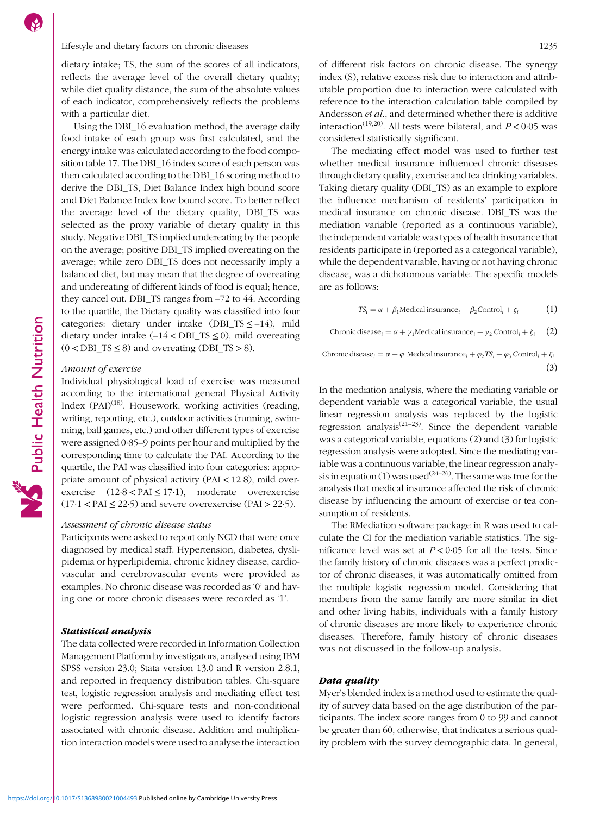#### Lifestyle and dietary factors on chronic diseases 1235

dietary intake; TS, the sum of the scores of all indicators, reflects the average level of the overall dietary quality; while diet quality distance, the sum of the absolute values of each indicator, comprehensively reflects the problems with a particular diet.

Using the DBI\_16 evaluation method, the average daily food intake of each group was first calculated, and the energy intake was calculated according to the food composition table 17. The DBI\_16 index score of each person was then calculated according to the DBI\_16 scoring method to derive the DBI\_TS, Diet Balance Index high bound score and Diet Balance Index low bound score. To better reflect the average level of the dietary quality, DBI\_TS was selected as the proxy variable of dietary quality in this study. Negative DBI\_TS implied undereating by the people on the average; positive DBI\_TS implied overeating on the average; while zero DBI\_TS does not necessarily imply a balanced diet, but may mean that the degree of overeating and undereating of different kinds of food is equal; hence, they cancel out. DBI\_TS ranges from –72 to 44. According to the quartile, the Dietary quality was classified into four categories: dietary under intake (DBI\_TS  $\leq$  –14), mild dietary under intake  $(-14 < DBI$  TS  $\leq 0$ ), mild overeating  $(0 < DBL_TS \le 8)$  and overeating (DBI\_TS > 8).

#### Amount of exercise

Public Health Nutrition

Individual physiological load of exercise was measured according to the international general Physical Activity Index  $(PAI)^{(18)}$  $(PAI)^{(18)}$  $(PAI)^{(18)}$ . Housework, working activities (reading, writing, reporting, etc.), outdoor activities (running, swimming, ball games, etc.) and other different types of exercise were assigned 0·85–9 points per hour and multiplied by the corresponding time to calculate the PAI. According to the quartile, the PAI was classified into four categories: appropriate amount of physical activity (PAI < 12·8), mild overexercise  $(12.8 < PAI \le 17.1)$ , moderate overexercise  $(17.1 < PAI \le 22.5)$  and severe overexercise (PAI > 22.5).

### Assessment of chronic disease status

Participants were asked to report only NCD that were once diagnosed by medical staff. Hypertension, diabetes, dyslipidemia or hyperlipidemia, chronic kidney disease, cardiovascular and cerebrovascular events were provided as examples. No chronic disease was recorded as '0' and having one or more chronic diseases were recorded as '1'.

#### Statistical analysis

The data collected were recorded in Information Collection Management Platform by investigators, analysed using IBM SPSS version 23.0; Stata version 13.0 and R version 2.8.1, and reported in frequency distribution tables. Chi-square test, logistic regression analysis and mediating effect test were performed. Chi-square tests and non-conditional logistic regression analysis were used to identify factors associated with chronic disease. Addition and multiplication interaction models were used to analyse the interaction of different risk factors on chronic disease. The synergy index (S), relative excess risk due to interaction and attributable proportion due to interaction were calculated with reference to the interaction calculation table compiled by Andersson et al., and determined whether there is additive interaction<sup>[\(19](#page-11-0),[20](#page-11-0))</sup>. All tests were bilateral, and  $P < 0.05$  was considered statistically significant.

The mediating effect model was used to further test whether medical insurance influenced chronic diseases through dietary quality, exercise and tea drinking variables. Taking dietary quality (DBI\_TS) as an example to explore the influence mechanism of residents' participation in medical insurance on chronic disease. DBI\_TS was the mediation variable (reported as a continuous variable), the independent variable was types of health insurance that residents participate in (reported as a categorical variable), while the dependent variable, having or not having chronic disease, was a dichotomous variable. The specific models are as follows:

$$
TS_i = \alpha + \beta_1 \text{Medical insurance}_i + \beta_2 \text{Control}_i + \zeta_i \tag{1}
$$

Chronic disease<sub>i</sub> =  $\alpha + \gamma_1$ Medical insurance<sub>i</sub> +  $\gamma_2$  Control<sub>i</sub> +  $\zeta_i$  (2)

Chronic disease<sub>i</sub> =  $\alpha + \varphi_1$ Medical insurance<sub>i</sub> +  $\varphi_2$ TS<sub>i</sub> +  $\varphi_3$  Control<sub>i</sub> +  $\zeta_i$ (3)

In the mediation analysis, where the mediating variable or dependent variable was a categorical variable, the usual linear regression analysis was replaced by the logistic regression analysis<sup> $(21-23)$  $(21-23)$  $(21-23)$  $(21-23)$  $(21-23)$ </sup>. Since the dependent variable was a categorical variable, equations (2) and (3) for logistic regression analysis were adopted. Since the mediating variable was a continuous variable, the linear regression analy-sis in equation (1) was used<sup>[\(24](#page-11-0)–[26\)](#page-11-0)</sup>. The same was true for the analysis that medical insurance affected the risk of chronic disease by influencing the amount of exercise or tea consumption of residents.

The RMediation software package in R was used to calculate the CI for the mediation variable statistics. The significance level was set at  $P < 0.05$  for all the tests. Since the family history of chronic diseases was a perfect predictor of chronic diseases, it was automatically omitted from the multiple logistic regression model. Considering that members from the same family are more similar in diet and other living habits, individuals with a family history of chronic diseases are more likely to experience chronic diseases. Therefore, family history of chronic diseases was not discussed in the follow-up analysis.

#### Data quality

Myer's blended index is a method used to estimate the quality of survey data based on the age distribution of the participants. The index score ranges from 0 to 99 and cannot be greater than 60, otherwise, that indicates a serious quality problem with the survey demographic data. In general,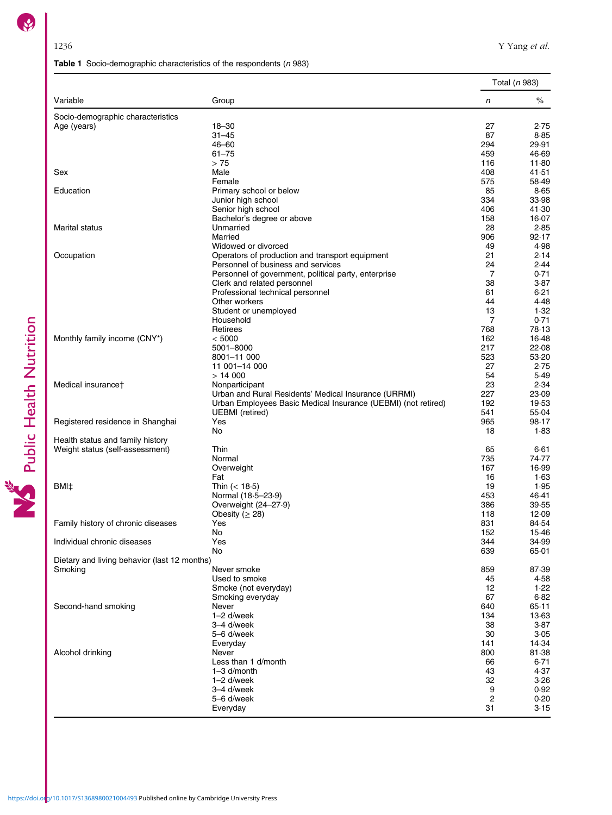# Table 1 Socio-demographic characteristics of the respondents  $(n 983)$

<span id="page-3-0"></span>

|                                              |                                                               |                | Total (n 983) |
|----------------------------------------------|---------------------------------------------------------------|----------------|---------------|
| Variable                                     | Group                                                         | $\sqrt{n}$     | $\%$          |
| Socio-demographic characteristics            |                                                               |                |               |
| Age (years)                                  | $18 - 30$                                                     | 27             | 2.75          |
|                                              | $31 - 45$                                                     | 87             | 8.85          |
|                                              | $46 - 60$                                                     | 294            | 29.91         |
|                                              | $61 - 75$                                                     | 459            | 46.69         |
|                                              | >75                                                           | 116            | 11.80         |
| Sex                                          | Male                                                          | 408            | 41.51         |
|                                              | Female                                                        | 575            | 58.49         |
| Education                                    | Primary school or below                                       | 85<br>334      | 8.65<br>33.98 |
|                                              | Junior high school<br>Senior high school                      | 406            | 41.30         |
|                                              | Bachelor's degree or above                                    | 158            | 16.07         |
| Marital status                               | Unmarried                                                     | 28             | 2.85          |
|                                              | Married                                                       | 906            | 92.17         |
|                                              | Widowed or divorced                                           | 49             | 4.98          |
| Occupation                                   | Operators of production and transport equipment               | 21             | 2.14          |
|                                              | Personnel of business and services                            | 24             | 2.44          |
|                                              | Personnel of government, political party, enterprise          | $\overline{7}$ | 0.71          |
|                                              | Clerk and related personnel                                   | 38             | 3.87          |
|                                              | Professional technical personnel                              | 61             | 6.21          |
|                                              | Other workers                                                 | 44             | 4.48          |
|                                              | Student or unemployed                                         | 13             | 1.32          |
|                                              | Household                                                     | $\overline{7}$ | 0.71          |
|                                              | Retirees                                                      | 768            | 78.13         |
| Monthly family income (CNY*)                 | < 5000                                                        | 162            | 16.48         |
|                                              | 5001-8000                                                     | 217            | 22.08         |
|                                              | 8001-11 000                                                   | 523            | 53.20         |
|                                              | 11 001-14 000                                                 | 27             | 2.75          |
|                                              | > 14000                                                       | 54             | 5.49          |
| Medical insurance†                           | Nonparticipant                                                | 23             | 2.34          |
|                                              | Urban and Rural Residents' Medical Insurance (URRMI)          | 227            | 23.09         |
|                                              | Urban Employees Basic Medical Insurance (UEBMI) (not retired) | 192            | 19.53         |
|                                              | <b>UEBMI</b> (retired)                                        | 541            | 55.04         |
| Registered residence in Shanghai             | Yes                                                           | 965            | 98.17         |
|                                              | No                                                            | 18             | 1.83          |
| Health status and family history             |                                                               |                |               |
| Weight status (self-assessment)              | Thin                                                          | 65             | $6 - 61$      |
|                                              | Normal                                                        | 735            | 74.77         |
|                                              | Overweight                                                    | 167            | 16.99         |
| BMI‡                                         | Fat                                                           | 16<br>19       | 1.63<br>1.95  |
|                                              | Thin $(< 18.5)$                                               | 453            | 46.41         |
|                                              | Normal (18-5-23-9)<br>Overweight (24-27.9)                    | 386            | 39.55         |
|                                              | Obesity ( $\geq$ 28)                                          | 118            | 12.09         |
| Family history of chronic diseases           | Yes                                                           | 831            | 84.54         |
|                                              | No                                                            | 152            | 15.46         |
| Individual chronic diseases                  | Yes                                                           | 344            | 34.99         |
|                                              | No                                                            | 639            | 65.01         |
| Dietary and living behavior (last 12 months) |                                                               |                |               |
| Smoking                                      | Never smoke                                                   | 859            | 87.39         |
|                                              | Used to smoke                                                 | 45             | 4.58          |
|                                              | Smoke (not everyday)                                          | 12             | 1.22          |
|                                              | Smoking everyday                                              | 67             | $6 - 82$      |
| Second-hand smoking                          | Never                                                         | 640            | 65.11         |
|                                              | $1-2$ d/week                                                  | 134            | 13.63         |
|                                              | 3-4 d/week                                                    | 38             | 3.87          |
|                                              | 5-6 d/week                                                    | 30             | 3.05          |
|                                              | Everyday                                                      | 141            | 14.34         |
| Alcohol drinking                             | Never                                                         | 800            | 81.38         |
|                                              | Less than 1 d/month                                           | 66             | 6.71          |
|                                              | $1 - 3$ d/month                                               | 43             | 4.37          |
|                                              | $1-2$ d/week                                                  | 32             | 3.26          |
|                                              | 3-4 d/week                                                    | 9              | 0.92          |
|                                              | 5-6 d/week                                                    | 2              | 0.20          |
|                                              | Everyday                                                      | 31             | 3.15          |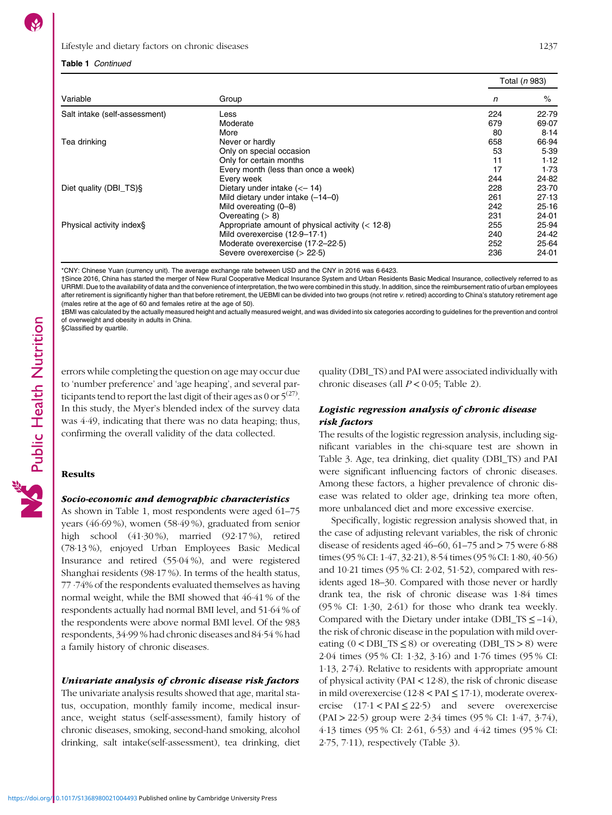### Table 1 Continued

|                               |                                                    |     | Total (n 983) |  |
|-------------------------------|----------------------------------------------------|-----|---------------|--|
| Variable                      | Group                                              | n   | %             |  |
| Salt intake (self-assessment) | Less                                               | 224 | 22.79         |  |
|                               | Moderate                                           | 679 | 69.07         |  |
|                               | More                                               | 80  | 8.14          |  |
| Tea drinking                  | Never or hardly                                    | 658 | 66.94         |  |
|                               | Only on special occasion                           | 53  | 5.39          |  |
|                               | Only for certain months                            | 11  | 1.12          |  |
|                               | Every month (less than once a week)                | 17  | 1.73          |  |
|                               | Every week                                         | 244 | 24.82         |  |
| Diet quality (DBI_TS)§        | Dietary under intake $(< -14)$                     | 228 | 23.70         |  |
|                               | Mild dietary under intake $(-14-0)$                | 261 | 27.13         |  |
|                               | Mild overeating (0–8)                              | 242 | 25.16         |  |
|                               | Overeating $(> 8)$                                 | 231 | 24.01         |  |
| Physical activity index§      | Appropriate amount of physical activity $(< 12.8)$ | 255 | 25.94         |  |
|                               | Mild overexercise (12-9-17-1)                      | 240 | 24.42         |  |
|                               | Moderate overexercise (17-2-22-5)                  | 252 | 25.64         |  |
|                               | Severe overexercise $(> 22.5)$                     | 236 | 24.01         |  |

\*CNY: Chinese Yuan (currency unit). The average exchange rate between USD and the CNY in 2016 was 6·6423.

†Since 2016, China has started the merger of New Rural Cooperative Medical Insurance System and Urban Residents Basic Medical Insurance, collectively referred to as URRMI. Due to the availability of data and the convenience of interpretation, the two were combined in this study. In addition, since the reimbursement ratio of urban employees after retirement is significantly higher than that before retirement, the UEBMI can be divided into two groups (not retire v. retired) according to China's statutory retirement age (males retire at the age of 60 and females retire at the age of 50).

‡BMI was calculated by the actually measured height and actually measured weight, and was divided into six categories according to guidelines for the prevention and control of overweight and obesity in adults in China.

§Classified by quartile.

errors while completing the question on age may occur due to 'number preference' and 'age heaping', and several participants tend to report the last digit of their ages as 0 or  $5^{(27)}$  $5^{(27)}$  $5^{(27)}$ . In this study, the Myer's blended index of the survey data was 4·49, indicating that there was no data heaping; thus, confirming the overall validity of the data collected.

# Results

#### Socio-economic and demographic characteristics

As shown in Table [1](#page-3-0), most respondents were aged 61–75 years (46·69 %), women (58·49 %), graduated from senior high school (41·30 %), married (92·17 %), retired (78·13 %), enjoyed Urban Employees Basic Medical Insurance and retired (55·04 %), and were registered Shanghai residents (98·17 %). In terms of the health status,  $77.74\%$  of the respondents evaluated themselves as having normal weight, while the BMI showed that 46·41 % of the respondents actually had normal BMI level, and 51·64 % of the respondents were above normal BMI level. Of the 983 respondents, 34·99 % had chronic diseases and 84·54 % had a family history of chronic diseases.

### Univariate analysis of chronic disease risk factors

The univariate analysis results showed that age, marital status, occupation, monthly family income, medical insurance, weight status (self-assessment), family history of chronic diseases, smoking, second-hand smoking, alcohol drinking, salt intake(self-assessment), tea drinking, diet quality (DBI\_TS) and PAI were associated individually with chronic diseases (all  $P < 0.05$ ; Table [2\)](#page-5-0).

### Logistic regression analysis of chronic disease risk factors

The results of the logistic regression analysis, including significant variables in the chi-square test are shown in Table [3.](#page-7-0) Age, tea drinking, diet quality (DBI\_TS) and PAI were significant influencing factors of chronic diseases. Among these factors, a higher prevalence of chronic disease was related to older age, drinking tea more often, more unbalanced diet and more excessive exercise.

Specifically, logistic regression analysis showed that, in the case of adjusting relevant variables, the risk of chronic disease of residents aged  $46-60$ ,  $61-75$  and  $> 75$  were  $6.88$ times (95 % CI: 1·47, 32·21), 8·54 times (95 % CI: 1·80, 40·56) and 10·21 times (95 % CI: 2·02, 51·52), compared with residents aged 18–30. Compared with those never or hardly drank tea, the risk of chronic disease was 1·84 times (95 % CI: 1·30, 2·61) for those who drank tea weekly. Compared with the Dietary under intake (DBI\_TS  $\leq$  –14), the risk of chronic disease in the population with mild overeating  $(0 < DBI_TS \le 8)$  or overeating  $(DBI_TS > 8)$  were 2·04 times (95 % CI: 1·32, 3·16) and 1·76 times (95 % CI: 1·13, 2·74). Relative to residents with appropriate amount of physical activity (PAI < 12·8), the risk of chronic disease in mild overexercise (12·8 < PAI ≤ 17·1), moderate overexercise  $(17.1 < PAI \le 22.5)$  and severe overexercise (PAI > 22·5) group were 2·34 times (95 % CI: 1·47, 3·74), 4·13 times (95 % CI: 2·61, 6·53) and 4·42 times (95 % CI: 2·75, 7·11), respectively (Table [3](#page-7-0)).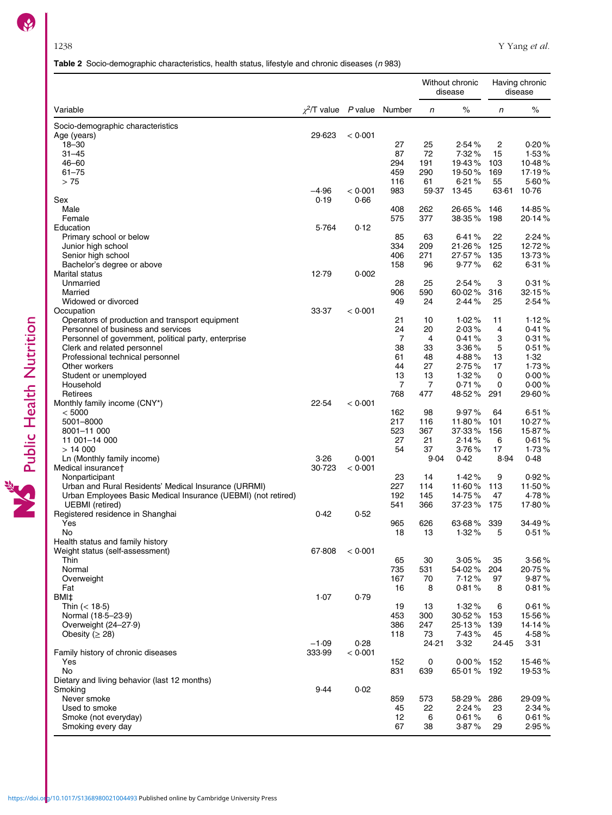# Table 2 Socio-demographic characteristics, health status, lifestyle and chronic diseases (n 983)

<span id="page-5-0"></span>

|                                                               |                       |         |                |                | Without chronic<br>disease | Having chronic<br>disease |        |
|---------------------------------------------------------------|-----------------------|---------|----------------|----------------|----------------------------|---------------------------|--------|
| Variable                                                      | $x^2/T$ value P value |         | Number         | n              | %                          | n                         | $\%$   |
| Socio-demographic characteristics                             |                       |         |                |                |                            |                           |        |
| Age (years)                                                   | 29.623                | < 0.001 |                |                |                            |                           |        |
| $18 - 30$                                                     |                       |         | 27             | 25             | 2.54%                      | $\overline{c}$            | 0.20%  |
| $31 - 45$                                                     |                       |         | 87             | 72             | 7.32%                      | 15                        | 1.53%  |
| $46 - 60$                                                     |                       |         | 294            | 191            | 19.43%                     | 103                       | 10.48% |
| $61 - 75$                                                     |                       |         | 459            | 290            | 19.50%                     | 169                       | 17.19% |
| > 75                                                          |                       |         | 116            | 61             | 6.21%                      | 55                        | 5.60%  |
|                                                               | $-4.96$               | < 0.001 | 983            | 59.37          | 13.45                      | 63.61                     | 10.76  |
| Sex                                                           | 0.19                  | 0.66    |                |                |                            |                           |        |
| Male                                                          |                       |         | 408            | 262            | 26.65%                     | 146                       | 14.85% |
| Female                                                        |                       |         | 575            | 377            | 38.35%                     | 198                       | 20.14% |
| Education                                                     | 5.764                 | 0.12    |                |                |                            |                           |        |
| Primary school or below                                       |                       |         | 85             | 63             | 6.41%                      | 22                        | 2.24%  |
| Junior high school                                            |                       |         | 334            | 209            | 21.26%                     | 125                       | 12.72% |
|                                                               |                       |         |                | 271            |                            |                           | 13.73% |
| Senior high school                                            |                       |         | 406            |                | 27.57%                     | 135                       |        |
| Bachelor's degree or above                                    |                       |         | 158            | 96             | 9.77%                      | 62                        | 6.31%  |
| Marital status                                                | 12.79                 | 0.002   |                |                |                            |                           |        |
| Unmarried                                                     |                       |         | 28             | 25             | 2.54%                      | 3                         | 0.31%  |
| Married                                                       |                       |         | 906            | 590            | 60.02%                     | 316                       | 32.15% |
| Widowed or divorced                                           |                       |         | 49             | 24             | 2.44%                      | 25                        | 2.54%  |
| Occupation                                                    | 33.37                 | < 0.001 |                |                |                            |                           |        |
| Operators of production and transport equipment               |                       |         | 21             | 10             | 1.02%                      | 11                        | 1.12%  |
| Personnel of business and services                            |                       |         | 24             | 20             | 2.03%                      | 4                         | 0.41%  |
| Personnel of government, political party, enterprise          |                       |         | $\overline{7}$ | 4              | 0.41%                      | 3                         | 0.31%  |
| Clerk and related personnel                                   |                       |         | 38             | 33             | 3.36%                      | 5                         | 0.51%  |
| Professional technical personnel                              |                       |         | 61             | 48             | 4.88%                      | 13                        | 1.32   |
| Other workers                                                 |                       |         | 44             | 27             | 2.75%                      | 17                        | 1.73%  |
| Student or unemployed                                         |                       |         | 13             | 13             | 1.32%                      | 0                         | 0.00%  |
| Household                                                     |                       |         | $\overline{7}$ | $\overline{7}$ | 0.71%                      | 0                         | 0.00%  |
| Retirees                                                      |                       |         | 768            | 477            | 48.52%                     | 291                       | 29.60% |
| Monthly family income (CNY*)                                  | 22.54                 | < 0.001 |                |                |                            |                           |        |
| < 5000                                                        |                       |         | 162            | 98             | 9.97%                      | 64                        | 6.51%  |
| 5001-8000                                                     |                       |         | 217            | 116            | 11.80%                     | 101                       | 10.27% |
|                                                               |                       |         | 523            |                |                            |                           | 15.87% |
| 8001-11 000                                                   |                       |         |                | 367            | 37.33%                     | 156                       |        |
| 11 001-14 000                                                 |                       |         | 27             | 21             | 2.14%                      | 6                         | 0.61%  |
| > 14000                                                       |                       |         | 54             | 37             | 3.76%                      | 17                        | 1.73%  |
| Ln (Monthly family income)                                    | 3.26                  | 0.001   |                | 9.04           | 0.42                       | 8.94                      | 0.48   |
| Medical insurance†                                            | 30.723                | < 0.001 |                |                |                            |                           |        |
| Nonparticipant                                                |                       |         | 23             | 14             | 1.42%                      | 9                         | 0.92%  |
| Urban and Rural Residents' Medical Insurance (URRMI)          |                       |         | 227            | 114            | 11.60%                     | 113                       | 11.50% |
| Urban Employees Basic Medical Insurance (UEBMI) (not retired) |                       |         | 192            | 145            | 14.75%                     | 47                        | 4.78%  |
| <b>UEBMI</b> (retired)                                        |                       |         | 541            | 366            | 37.23%                     | 175                       | 17.80% |
| Registered residence in Shanghai                              | 0.42                  | 0.52    |                |                |                            |                           |        |
| Yes                                                           |                       |         | 965            | 626            | 63.68% 339                 |                           | 34.49% |
| No                                                            |                       |         | 18             | 13             | 1.32%                      | 5                         | 0.51%  |
| Health status and family history                              |                       |         |                |                |                            |                           |        |
| Weight status (self-assessment)                               | 67.808                | < 0.001 |                |                |                            |                           |        |
| Thin                                                          |                       |         | 65             | 30             | 3.05%                      | 35                        | 3.56%  |
| Normal                                                        |                       |         | 735            | 531            | 54.02%                     | 204                       | 20.75% |
| Overweight                                                    |                       |         | 167            | 70             | 7.12%                      | 97                        | 9.87%  |
| Fat                                                           |                       |         | 16             | 8              | 0.81%                      | 8                         | 0.81%  |
| BMI‡                                                          | 1.07                  | 0.79    |                |                |                            |                           |        |
| Thin $(< 18.5)$                                               |                       |         | 19             | 13             | 1.32%                      | 6                         | 0.61%  |
| Normal (18-5-23-9)                                            |                       |         | 453            | 300            | 30.52%                     |                           | 15.56% |
|                                                               |                       |         |                |                |                            | 153                       |        |
| Overweight $(24-27.9)$                                        |                       |         | 386            | 247            | 25.13%                     | 139                       | 14.14% |
| Obesity ( $\geq$ 28)                                          |                       |         | 118            | 73             | 7.43%                      | 45                        | 4.58%  |
|                                                               | $-1.09$               | 0.28    |                | 24.21          | 3.32                       | 24.45                     | 3.31   |
| Family history of chronic diseases                            | 333.99                | < 0.001 |                |                |                            |                           |        |
| Yes                                                           |                       |         | 152            | 0              | $0.00\%$ 152               |                           | 15.46% |
| No                                                            |                       |         | 831            | 639            | 65.01% 192                 |                           | 19.53% |
| Dietary and living behavior (last 12 months)                  |                       |         |                |                |                            |                           |        |
| Smoking                                                       | 9.44                  | 0.02    |                |                |                            |                           |        |
| Never smoke                                                   |                       |         | 859            | 573            | 58.29%                     | 286                       | 29.09% |
| Used to smoke                                                 |                       |         | 45             | 22             | 2.24%                      | 23                        | 2.34%  |
| Smoke (not everyday)                                          |                       |         | 12             | 6              | 0.61%                      | 6                         | 0.61%  |
|                                                               |                       |         |                |                |                            |                           |        |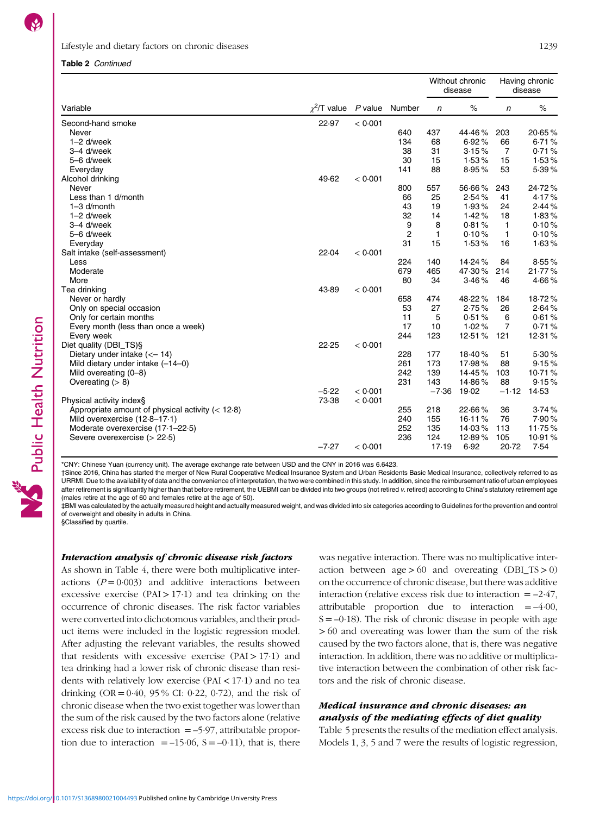Public Health Nutrition

### Lifestyle and dietary factors on chronic diseases 1239

#### Table 2 Continued

|                                                    |                                 |         |                | Without chronic<br>disease |                 |                | Having chronic<br>disease |  |
|----------------------------------------------------|---------------------------------|---------|----------------|----------------------------|-----------------|----------------|---------------------------|--|
| Variable                                           | $\chi^2$ T value P value Number |         |                | n                          | $\%$            | n              | $\%$                      |  |
| Second-hand smoke                                  | 22.97                           | < 0.001 |                |                            |                 |                |                           |  |
| Never                                              |                                 |         | 640            | 437                        | 44.46%          | 203            | 20.65%                    |  |
| $1-2$ d/week                                       |                                 |         | 134            | 68                         | 6.92%           | 66             | 6.71%                     |  |
| 3-4 d/week                                         |                                 |         | 38             | 31                         | 3.15%           | $\overline{7}$ | 0.71%                     |  |
| 5-6 d/week                                         |                                 |         | 30             | 15                         | 1.53%           | 15             | 1.53%                     |  |
| Everyday                                           |                                 |         | 141            | 88                         | 8.95%           | 53             | 5.39%                     |  |
| Alcohol drinking                                   | 49.62                           | < 0.001 |                |                            |                 |                |                           |  |
| Never                                              |                                 |         | 800            | 557                        | 56.66%          | 243            | 24.72%                    |  |
| Less than 1 d/month                                |                                 |         | 66             | 25                         | 2.54%           | 41             | 4.17%                     |  |
| $1 - 3$ d/month                                    |                                 |         | 43             | 19                         | 1.93%           | 24             | 2.44%                     |  |
| $1-2$ d/week                                       |                                 |         | 32             | 14                         | 1.42%           | 18             | 1.83%                     |  |
| 3-4 d/week                                         |                                 |         | 9              | 8                          | 0.81%           | $\mathbf{1}$   | 0.10%                     |  |
| 5-6 d/week                                         |                                 |         | $\overline{2}$ | 1                          | 0.10%           | 1              | 0.10%                     |  |
| Everyday                                           |                                 |         | 31             | 15                         | 1.53%           | 16             | 1.63%                     |  |
| Salt intake (self-assessment)                      | 22.04                           | < 0.001 | 224            |                            |                 |                |                           |  |
| Less                                               |                                 |         | 679            | 140<br>465                 | 14.24%          | 84<br>214      | 8.55%<br>21.77%           |  |
| Moderate<br>More                                   |                                 |         | 80             | 34                         | 47.30%<br>3.46% | 46             | 4.66%                     |  |
| Tea drinking                                       | 43.89                           | < 0.001 |                |                            |                 |                |                           |  |
| Never or hardly                                    |                                 |         | 658            | 474                        | 48.22%          | 184            | 18.72%                    |  |
| Only on special occasion                           |                                 |         | 53             | 27                         | 2.75%           | 26             | 2.64%                     |  |
| Only for certain months                            |                                 |         | 11             | 5                          | 0.51%           | 6              | 0.61%                     |  |
| Every month (less than once a week)                |                                 |         | 17             | 10                         | 1.02%           | $\overline{7}$ | 0.71%                     |  |
| Every week                                         |                                 |         | 244            | 123                        | 12.51%          | 121            | 12.31%                    |  |
| Diet quality (DBI_TS)§                             | 22.25                           | < 0.001 |                |                            |                 |                |                           |  |
| Dietary under intake $(< -14)$                     |                                 |         | 228            | 177                        | 18.40%          | 51             | 5.30%                     |  |
| Mild dietary under intake (-14-0)                  |                                 |         | 261            | 173                        | 17.98%          | 88             | 9.15%                     |  |
| Mild overeating (0-8)                              |                                 |         | 242            | 139                        | 14.45%          | 103            | 10.71%                    |  |
| Overeating $(>8)$                                  |                                 |         | 231            | 143                        | 14.86%          | 88             | 9.15%                     |  |
|                                                    | $-5.22$                         | < 0.001 |                | $-7.36$                    | 19.02           | $-1.12$        | 14.53                     |  |
| Physical activity index§                           | 73.38                           | < 0.001 |                |                            |                 |                |                           |  |
| Appropriate amount of physical activity $(< 12.8)$ |                                 |         | 255            | 218                        | 22.66%          | 36             | 3.74%                     |  |
| Mild overexercise (12.8-17.1)                      |                                 |         | 240            | 155                        | 16.11%          | 76             | 7.90%                     |  |
| Moderate overexercise (17-1-22-5)                  |                                 |         | 252            | 135                        | 14.03%          | 113            | 11.75%                    |  |
| Severe overexercise $(> 22.5)$                     |                                 |         | 236            | 124                        | 12.89%          | 105            | 10.91%                    |  |
|                                                    | $-7.27$                         | < 0.001 |                | 17.19                      | 6.92            | 20.72          | 7.54                      |  |

\*CNY: Chinese Yuan (currency unit). The average exchange rate between USD and the CNY in 2016 was 6.6423.

†Since 2016, China has started the merger of New Rural Cooperative Medical Insurance System and Urban Residents Basic Medical Insurance, collectively referred to as URRMI. Due to the availability of data and the convenience of interpretation, the two were combined in this study. In addition, since the reimbursement ratio of urban employees after retirement is significantly higher than that before retirement, the UEBMI can be divided into two groups (not retired v. retired) according to China's statutory retirement age (males retire at the age of 60 and females retire at the age of 50).

‡BMI was calculated by the actually measured height and actually measured weight, and was divided into six categories according to Guidelines for the prevention and control of overweight and obesity in adults in China. §Classified by quartile.

#### Interaction analysis of chronic disease risk factors

As shown in Table [4](#page-8-0), there were both multiplicative interactions  $(P = 0.003)$  and additive interactions between excessive exercise (PAI  $> 17.1$ ) and tea drinking on the occurrence of chronic diseases. The risk factor variables were converted into dichotomous variables, and their product items were included in the logistic regression model. After adjusting the relevant variables, the results showed that residents with excessive exercise  $(PAI > 17.1)$  and tea drinking had a lower risk of chronic disease than residents with relatively low exercise (PAI  $<$  17·1) and no tea drinking  $OR = 0.40$ , 95% CI: 0.22, 0.72), and the risk of chronic disease when the two exist together was lower than the sum of the risk caused by the two factors alone (relative excess risk due to interaction  $=$  –5 $\cdot$ 97, attributable proportion due to interaction  $= -15.06$ ,  $S = -0.11$ ), that is, there was negative interaction. There was no multiplicative interaction between  $age > 60$  and overeating (DBI TS  $> 0$ ) on the occurrence of chronic disease, but there was additive interaction (relative excess risk due to interaction  $= -2.47$ , attributable proportion due to interaction  $=$  –4·00,  $S = -0.18$ ). The risk of chronic disease in people with age > 60 and overeating was lower than the sum of the risk caused by the two factors alone, that is, there was negative interaction. In addition, there was no additive or multiplicative interaction between the combination of other risk factors and the risk of chronic disease.

# Medical insurance and chronic diseases: an analysis of the mediating effects of diet quality

Table [5](#page-10-0) presents the results of the mediation effect analysis. Models 1, 3, 5 and 7 were the results of logistic regression,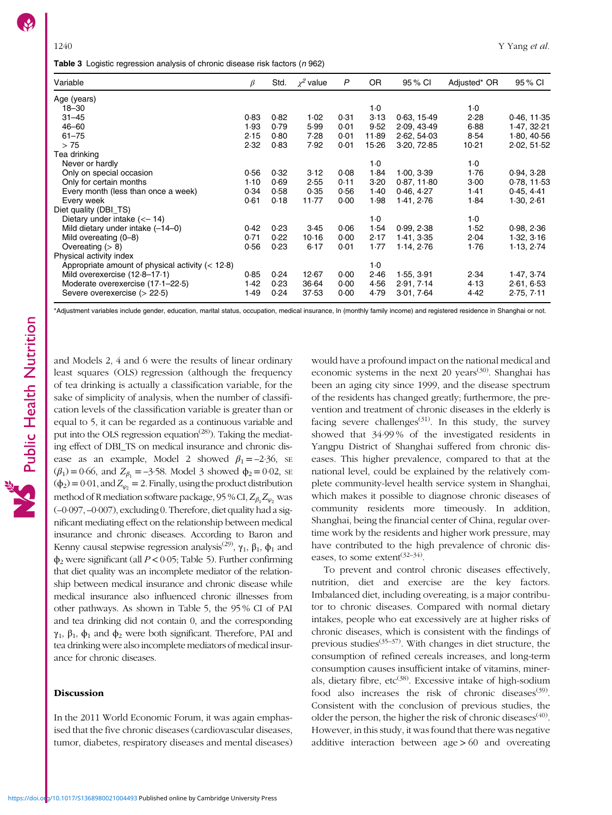<span id="page-7-0"></span>Table 3 Logistic regression analysis of chronic disease risk factors (n 962)

| Variable                                           | β    | Std. | $\chi^2$ value | P    | 0R    | 95 % CI     | Adjusted* OR | 95 % CI     |
|----------------------------------------------------|------|------|----------------|------|-------|-------------|--------------|-------------|
| Age (years)                                        |      |      |                |      |       |             |              |             |
| $18 - 30$                                          |      |      |                |      | 1.0   |             | $1-0$        |             |
| $31 - 45$                                          | 0.83 | 0.82 | 1.02           | 0.31 | 3.13  | 0.63, 15.49 | 2.28         | 0.46, 11.35 |
| $46 - 60$                                          | 1.93 | 0.79 | 5.99           | 0.01 | 9.52  | 2.09, 43.49 | 6.88         | 1.47, 32.21 |
| $61 - 75$                                          | 2.15 | 0.80 | 7.28           | 0.01 | 11.89 | 2.62, 54.03 | 8.54         | 1.80, 40.56 |
| > 75                                               | 2.32 | 0.83 | 7.92           | 0.01 | 15.26 | 3.20, 72.85 | 10.21        | 2.02, 51.52 |
| Tea drinking                                       |      |      |                |      |       |             |              |             |
| Never or hardly                                    |      |      |                |      | 1.0   |             | $1-0$        |             |
| Only on special occasion                           | 0.56 | 0.32 | 3.12           | 0.08 | 1.84  | 1.00, 3.39  | 1.76         | 0.94, 3.28  |
| Only for certain months                            | 1.10 | 0.69 | 2.55           | 0.11 | 3.20  | 0.87, 11.80 | 3.00         | 0.78, 11.53 |
| Every month (less than once a week)                | 0.34 | 0.58 | 0.35           | 0.56 | 1.40  | 0.46, 4.27  | 1.41         | 0.45, 4.41  |
| Every week                                         | 0.61 | 0.18 | 11.77          | 0.00 | 1.98  | 1.41, 2.76  | 1.84         | 1.30, 2.61  |
| Diet quality (DBI TS)                              |      |      |                |      |       |             |              |             |
| Dietary under intake $(< -14)$                     |      |      |                |      | 1.0   |             | 1.0          |             |
| Mild dietary under intake $(-14-0)$                | 0.42 | 0.23 | 3.45           | 0.06 | 1.54  | 0.99, 2.38  | 1.52         | 0.98, 2.36  |
| Mild overeating $(0-8)$                            | 0.71 | 0.22 | 10.16          | 0.00 | 2.17  | 1.41, 3.35  | 2.04         | 1.32, 3.16  |
| Overeating $(> 8)$                                 | 0.56 | 0.23 | 6.17           | 0.01 | 1.77  | 1.14, 2.76  | 1.76         | 1.13, 2.74  |
| Physical activity index                            |      |      |                |      |       |             |              |             |
| Appropriate amount of physical activity $(< 12.8)$ |      |      |                |      | 1.0   |             |              |             |
| Mild overexercise (12-8-17-1)                      | 0.85 | 0.24 | 12.67          | 0.00 | 2.46  | 1.55, 3.91  | 2.34         | 1.47, 3.74  |
| Moderate overexercise (17-1-22-5)                  | 1.42 | 0.23 | 36.64          | 0.00 | 4.56  | 2.91, 7.14  | 4.13         | 2.61, 6.53  |
| Severe overexercise $(> 22.5)$                     | 1.49 | 0.24 | 37.53          | 0.00 | 4.79  | 3.01, 7.64  | 4.42         | 2.75, 7.11  |

\*Adjustment variables include gender, education, marital status, occupation, medical insurance, ln (monthly family income) and registered residence in Shanghai or not.

and Models 2, 4 and 6 were the results of linear ordinary least squares (OLS) regression (although the frequency of tea drinking is actually a classification variable, for the sake of simplicity of analysis, when the number of classification levels of the classification variable is greater than or equal to 5, it can be regarded as a continuous variable and put into the OLS regression equation<sup> $(28)$  $(28)$  $(28)$ </sup>). Taking the mediating effect of DBI\_TS on medical insurance and chronic disease as an example, Model 2 showed  $\beta_1 = -2.36$ , se  $(\beta_1) = 0.66$ , and  $Z_{\beta_1} = -3.58$ . Model 3 showed  $\phi_2 = 0.02$ , se  $(\phi_2) = 0.01$ , and  $Z_{\varphi_2} = 2$ . Finally, using the product distribution method of R mediation software package, 95 % CI,  $Z_{\beta_1}Z_{\varphi_2}$  was (–0·097, –0·007), excluding 0. Therefore, diet quality had a significant mediating effect on the relationship between medical insurance and chronic diseases. According to Baron and Kenny causal stepwise regression analysis<sup>[\(29\)](#page-11-0)</sup>,  $\gamma_1$ ,  $\beta_1$ ,  $\phi_1$  and  $\phi_2$  were significant (all  $P < 0.05$ ; Table [5](#page-10-0)). Further confirming that diet quality was an incomplete mediator of the relationship between medical insurance and chronic disease while medical insurance also influenced chronic illnesses from other pathways. As shown in Table [5,](#page-10-0) the 95 % CI of PAI and tea drinking did not contain 0, and the corresponding  $γ<sub>1</sub>, β<sub>1</sub>, φ<sub>1</sub>$  and φ<sub>2</sub> were both significant. Therefore, PAI and

#### Discussion

ance for chronic diseases.

In the 2011 World Economic Forum, it was again emphasised that the five chronic diseases (cardiovascular diseases, tumor, diabetes, respiratory diseases and mental diseases)

tea drinking were also incomplete mediators of medical insur-

would have a profound impact on the national medical and economic systems in the next 20 years<sup> $(30)$  $(30)$  $(30)$ </sup>. Shanghai has been an aging city since 1999, and the disease spectrum of the residents has changed greatly; furthermore, the prevention and treatment of chronic diseases in the elderly is facing severe challenges<sup> $(31)$  $(31)$  $(31)$ </sup>. In this study, the survey showed that 34·99 % of the investigated residents in Yangpu District of Shanghai suffered from chronic diseases. This higher prevalence, compared to that at the national level, could be explained by the relatively complete community-level health service system in Shanghai, which makes it possible to diagnose chronic diseases of community residents more timeously. In addition, Shanghai, being the financial center of China, regular overtime work by the residents and higher work pressure, may have contributed to the high prevalence of chronic diseases, to some extent<sup> $(32-34)$  $(32-34)$  $(32-34)$ </sup>.

To prevent and control chronic diseases effectively, nutrition, diet and exercise are the key factors. Imbalanced diet, including overeating, is a major contributor to chronic diseases. Compared with normal dietary intakes, people who eat excessively are at higher risks of chronic diseases, which is consistent with the findings of previous studies<sup> $(35-37)$  $(35-37)$  $(35-37)$ </sup>. With changes in diet structure, the consumption of refined cereals increases, and long-term consumption causes insufficient intake of vitamins, miner-als, dietary fibre, etc<sup>([38](#page-12-0))</sup>. Excessive intake of high-sodium food also increases the risk of chronic diseases<sup>[\(39\)](#page-12-0)</sup>. Consistent with the conclusion of previous studies, the older the person, the higher the risk of chronic diseases<sup> $(40)$ </sup>. However, in this study, it was found that there was negative additive interaction between age > 60 and overeating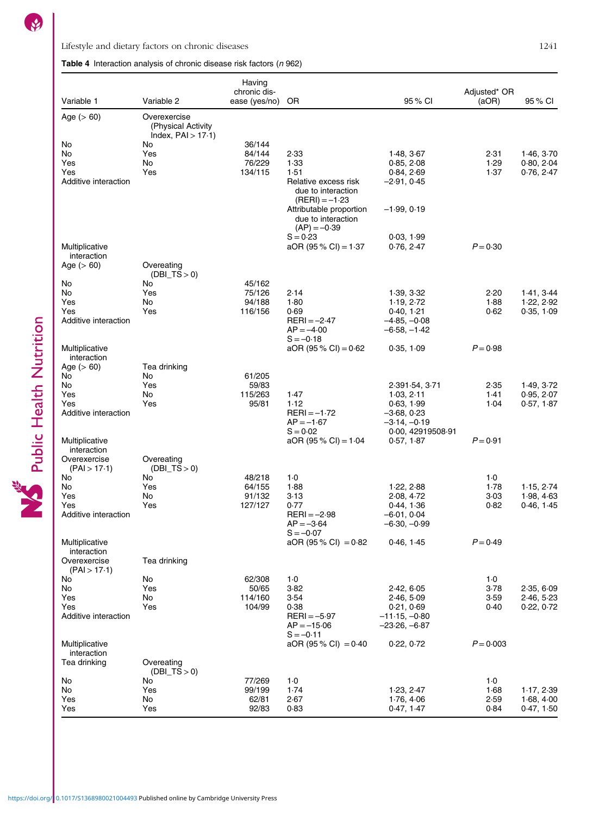Public Health Nutrition

<span id="page-8-0"></span>Lifestyle and dietary factors on chronic diseases 1241

Table 4 Interaction analysis of chronic disease risk factors  $(n 962)$ 

| Variable 1                                  | Variable 2                         | Having<br>chronic dis-<br>ease (yes/no) | OR                                                                     | 95 % CI                                            | Adjusted* OR<br>(aOR) | 95 % CI                  |
|---------------------------------------------|------------------------------------|-----------------------------------------|------------------------------------------------------------------------|----------------------------------------------------|-----------------------|--------------------------|
| Age $(> 60)$                                | Overexercise<br>(Physical Activity |                                         |                                                                        |                                                    |                       |                          |
| No                                          | Index, $PAI > 17.1$ )<br>No        | 36/144                                  |                                                                        |                                                    |                       |                          |
| No                                          | Yes                                | 84/144                                  | 2.33                                                                   | 1.48, 3.67                                         | 2.31                  | 1.46, 3.70               |
| Yes                                         | No                                 | 76/229                                  | 1.33                                                                   | 0.85, 2.08                                         | 1.29                  | 0.80, 2.04               |
| Yes<br>Additive interaction                 | Yes                                | 134/115                                 | 1.51<br>Relative excess risk<br>due to interaction<br>$(RERI) = -1.23$ | 0.84, 2.69<br>$-2.91, 0.45$                        | 1.37                  | 0.76, 2.47               |
|                                             |                                    |                                         | Attributable proportion<br>due to interaction<br>$(AP) = -0.39$        | $-1.99, 0.19$                                      |                       |                          |
| Multiplicative<br>interaction               |                                    |                                         | $S = 0.23$<br>$aOR (95 % CI) = 1.37$                                   | 0.03, 1.99<br>0.76, 2.47                           | $P = 0.30$            |                          |
| Age $(> 60)$                                | Overeating<br>$(DBI_TS>0)$         |                                         |                                                                        |                                                    |                       |                          |
| No                                          | No                                 | 45/162                                  |                                                                        |                                                    |                       |                          |
| No<br>Yes                                   | Yes<br>No                          | 75/126<br>94/188                        | 2.14<br>1.80                                                           | 1.39, 3.32<br>1.19, 2.72                           | 2.20<br>1.88          | 1.41, 3.44<br>1.22, 2.92 |
| Yes                                         | Yes                                | 116/156                                 | 0.69                                                                   | 0.40, 1.21                                         | 0.62                  | 0.35, 1.09               |
| Additive interaction                        |                                    |                                         | $RERI = -2.47$<br>$AP = -4.00$<br>$S = -0.18$                          | $-4.85, -0.08$<br>$-6.58, -1.42$                   |                       |                          |
| Multiplicative<br>interaction               |                                    |                                         | $aOR$ (95 % CI) = 0.62                                                 | 0.35, 1.09                                         | $P = 0.98$            |                          |
| Age $(> 60)$                                | Tea drinking                       |                                         |                                                                        |                                                    |                       |                          |
| No<br>No                                    | No<br>Yes                          | 61/205<br>59/83                         |                                                                        | 2.391.54, 3.71                                     | 2.35                  | 1.49, 3.72               |
| Yes                                         | No                                 | 115/263                                 | 1.47                                                                   | 1.03, 2.11                                         | 1.41                  | 0.95, 2.07               |
| Yes                                         | Yes                                | 95/81                                   | 1.12                                                                   | 0.63, 1.99                                         | 1.04                  | 0.57, 1.87               |
| Additive interaction                        |                                    |                                         | $RERI = -1.72$<br>$AP = -1.67$<br>$S = 0.02$                           | –3.68, 0.23<br>$-3.14, -0.19$<br>0.00, 42919508.91 |                       |                          |
| Multiplicative                              |                                    |                                         | $aOR (95\% CI) = 1.04$                                                 | 0.57, 1.87                                         | $P = 0.91$            |                          |
| interaction<br>Overexercise<br>(PAI > 17.1) | Overeating<br>$(DBI_TS>0)$         |                                         |                                                                        |                                                    |                       |                          |
| No                                          | No                                 | 48/218                                  | $1-0$                                                                  |                                                    | $1-0$                 |                          |
| No                                          | Yes                                | 64/155                                  | 1.88                                                                   | 1.22, 2.88                                         | 1.78                  | 1.15, 2.74               |
| Yes<br>Yes                                  | No<br>Yes                          | 91/132<br>127/127                       | 3.13<br>0.77                                                           | 2.08, 4.72<br>0.44, 1.36                           | 3.03<br>0.82          | 1.98, 4.63<br>0.46, 1.45 |
| Additive interaction                        |                                    |                                         | $RERI = -2.98$<br>$AP = -3.64$                                         | $-6.01, 0.04$<br>$-6.30, -0.99$                    |                       |                          |
| Multiplicative<br>interaction               |                                    |                                         | $S = -0.07$<br>$aOR (95 % CI) = 0.82$                                  | 0.46, 1.45                                         | $P = 0.49$            |                          |
| Overexercise<br>(PAI > 17.1)                | Tea drinking                       |                                         |                                                                        |                                                    |                       |                          |
| No<br>No                                    | No<br>Yes                          | 62/308<br>50/65                         | $1-0$<br>3.82                                                          | 2.42, 6.05                                         | $1-0$<br>3.78         | 2.35, 6.09               |
| Yes                                         | No                                 | 114/160                                 | 3.54                                                                   | 2.46, 5.09                                         | 3.59                  | 2.46, 5.23               |
| Yes                                         | Yes                                | 104/99                                  | 0.38                                                                   | 0.21, 0.69                                         | 0.40                  | 0.22, 0.72               |
| Additive interaction                        |                                    |                                         | $RERI = -5.97$<br>$AP = -15.06$<br>$S = -0.11$                         | $-11.15, -0.80$<br>–23⋅26, –6⋅87                   |                       |                          |
| Multiplicative<br>interaction               |                                    |                                         | $aOR (95\% CI) = 0.40$                                                 | 0.22, 0.72                                         | $P = 0.003$           |                          |
| Tea drinking                                | Overeating<br>$(DBI_TS>0)$         |                                         |                                                                        |                                                    |                       |                          |
| No                                          | No                                 | 77/269                                  | $1-0$                                                                  |                                                    | $1-0$                 |                          |
| No<br>Yes                                   | Yes<br>No                          | 99/199<br>62/81                         | 1.74<br>2.67                                                           | 1.23, 2.47<br>1.76, 4.06                           | 1.68<br>2.59          | 1.17, 2.39<br>1.68, 4.00 |
| Yes                                         | Yes                                | 92/83                                   | 0.83                                                                   | 0.47, 1.47                                         | 0.84                  | 0.47, 1.50               |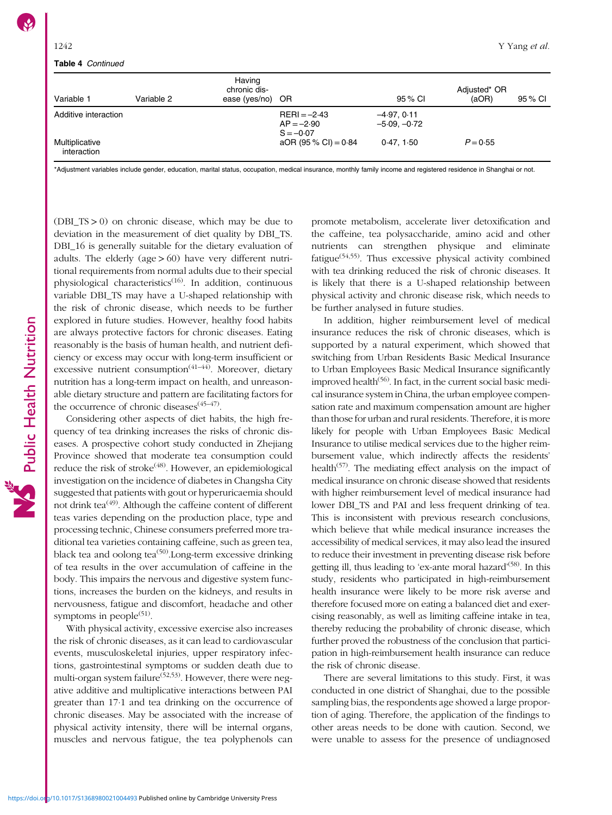#### Table 4 Continued

| Variable 1                    | Variable 2 | Having<br>chronic dis-<br>ease (yes/no) OR |                                               | 95 % CI                        | Adjusted* OR<br>(aOR) | 95 % CI |
|-------------------------------|------------|--------------------------------------------|-----------------------------------------------|--------------------------------|-----------------------|---------|
| Additive interaction          |            |                                            | $RERI = -2.43$<br>$AP = -2.90$<br>$S = -0.07$ | $-4.97.0.11$<br>$-5.09, -0.72$ |                       |         |
| Multiplicative<br>interaction |            |                                            | aOR (95 % CI) = $0.84$                        | 0.47.1.50                      | $P = 0.55$            |         |

\*Adjustment variables include gender, education, marital status, occupation, medical insurance, monthly family income and registered residence in Shanghai or not.

(DBI\_TS > 0) on chronic disease, which may be due to deviation in the measurement of diet quality by DBI\_TS. DBI\_16 is generally suitable for the dietary evaluation of adults. The elderly (age  $> 60$ ) have very different nutritional requirements from normal adults due to their special physiological characteristics<sup>[\(16\)](#page-11-0)</sup>. In addition, continuous variable DBI\_TS may have a U-shaped relationship with the risk of chronic disease, which needs to be further explored in future studies. However, healthy food habits are always protective factors for chronic diseases. Eating reasonably is the basis of human health, and nutrient deficiency or excess may occur with long-term insufficient or excessive nutrient consumption<sup>([41](#page-12-0)-[44](#page-12-0))</sup>. Moreover, dietary nutrition has a long-term impact on health, and unreasonable dietary structure and pattern are facilitating factors for the occurrence of chronic diseases $(45-47)$  $(45-47)$  $(45-47)$  $(45-47)$  $(45-47)$ .

Considering other aspects of diet habits, the high frequency of tea drinking increases the risks of chronic diseases. A prospective cohort study conducted in Zhejiang Province showed that moderate tea consumption could reduce the risk of stroke<sup>[\(48\)](#page-12-0)</sup>. However, an epidemiological investigation on the incidence of diabetes in Changsha City suggested that patients with gout or hyperuricaemia should not drink tea<sup> $(49)$  $(49)$  $(49)$ </sup>. Although the caffeine content of different teas varies depending on the production place, type and processing technic, Chinese consumers preferred more traditional tea varieties containing caffeine, such as green tea, black tea and oolong tea<sup> $(50)$  $(50)$ </sup>. Long-term excessive drinking of tea results in the over accumulation of caffeine in the body. This impairs the nervous and digestive system functions, increases the burden on the kidneys, and results in nervousness, fatigue and discomfort, headache and other symptoms in people $(51)$ .

With physical activity, excessive exercise also increases the risk of chronic diseases, as it can lead to cardiovascular events, musculoskeletal injuries, upper respiratory infections, gastrointestinal symptoms or sudden death due to multi-organ system failure<sup> $(52,53)$  $(52,53)$ </sup>. However, there were negative additive and multiplicative interactions between PAI greater than 17·1 and tea drinking on the occurrence of chronic diseases. May be associated with the increase of physical activity intensity, there will be internal organs, muscles and nervous fatigue, the tea polyphenols can

promote metabolism, accelerate liver detoxification and the caffeine, tea polysaccharide, amino acid and other nutrients can strengthen physique and eliminate fatigue<sup> $(54,55)$  $(54,55)$ </sup>. Thus excessive physical activity combined with tea drinking reduced the risk of chronic diseases. It is likely that there is a U-shaped relationship between physical activity and chronic disease risk, which needs to be further analysed in future studies.

In addition, higher reimbursement level of medical insurance reduces the risk of chronic diseases, which is supported by a natural experiment, which showed that switching from Urban Residents Basic Medical Insurance to Urban Employees Basic Medical Insurance significantly improved health<sup> $(56)$  $(56)$ </sup>. In fact, in the current social basic medical insurance system in China, the urban employee compensation rate and maximum compensation amount are higher than those for urban and rural residents. Therefore, it is more likely for people with Urban Employees Basic Medical Insurance to utilise medical services due to the higher reimbursement value, which indirectly affects the residents' health<sup> $(57)$  $(57)$  $(57)$ </sup>. The mediating effect analysis on the impact of medical insurance on chronic disease showed that residents with higher reimbursement level of medical insurance had lower DBI TS and PAI and less frequent drinking of tea. This is inconsistent with previous research conclusions, which believe that while medical insurance increases the accessibility of medical services, it may also lead the insured to reduce their investment in preventing disease risk before getting ill, thus leading to 'ex-ante moral hazard'<sup>([58](#page-12-0))</sup>. In this study, residents who participated in high-reimbursement health insurance were likely to be more risk averse and therefore focused more on eating a balanced diet and exercising reasonably, as well as limiting caffeine intake in tea, thereby reducing the probability of chronic disease, which further proved the robustness of the conclusion that participation in high-reimbursement health insurance can reduce the risk of chronic disease.

There are several limitations to this study. First, it was conducted in one district of Shanghai, due to the possible sampling bias, the respondents age showed a large proportion of aging. Therefore, the application of the findings to other areas needs to be done with caution. Second, we were unable to assess for the presence of undiagnosed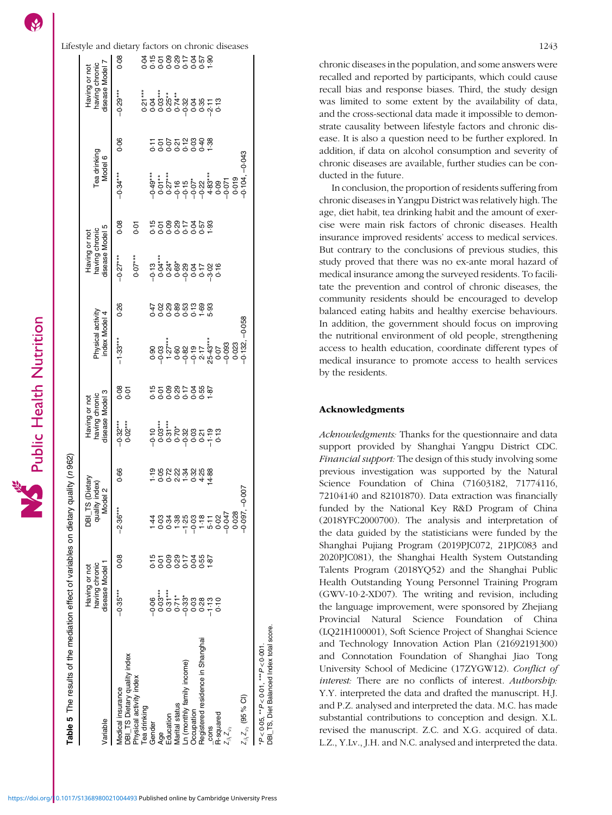<span id="page-10-0"></span> $\mathcal{S}$ 

Lifestyle and dietary factors on chronic diseases 1243 855887568555<br>555565555 Having or not<br>having chronic<br>disease Model 7  $0.08$ 000 − 3000 − 3000 − 3000 − 3000 − 3000 − 3000 − 3000 − 3000 − 2000 − 2000 − 2000 − 2000 − 2000 − 2000 − 2000 − Tea drinking 0·21\*\*\* 0·04 GEO PO:0 1:10 \*\*\*6P\*0− 91:0 0:10 0:10 06:0 91:0− 0:1− 0:1− 17:1 9:10 90:0− − 19:0 40°0 = 10°0 + 10°0 + 10°0 = 20°0 00°0− 10°0 = 90°0 0°00 0°00 10°0 = 10°0 + 10°0 = 10°0 = 10°0 = 10°0 Education 0·31\*\*\* 0·09 0·34 0·72 0·31\*\*\* 0·09 1·27\*\*\* 0·29 0·24\* 0·09 0·27\*\*\* 0·07 0·25\*\* 0·09 6219 +121.0 1210 91.0− 6210 +890 09:0 09:0 09:0 02:0 02:0 08:0 0.22; 0.22; 0.22; 0.29; 0.29; 0.21 0.21 0.21 0 Ln (monthly family income) −0·33\* 0·17 −1·25 1·34 −0·32 0·17 −0·82 0·53 −0·29 0·17 −0·15 0·12 −0·32 0·17 Occupation 0·03 0·04 −0·03 0·32 0·03 0·04 −0·19 0·13 0·04 0·04 −0·07\* 0·03 0·04 0·04 Registered residence in Shanghai 0·28 0·55 1·18 4·25 0·21 0·55 2·17 1·69 0·17 0·57 −0·22 0·40 0·35 0·57 06:1 11:27 14:08 19:04 19:05 19:05 10:09 10:04 10:04:1 10:11 10:11 11:04 1.02:1 1.03 1.09:11 1.02:11 1.02:11 1 disease Model 7 having chronic Having or not =<br>- παδωτή<br>- παντικές<br>- παντικές<br>- παντικές<br>- παντικές  $-0.29***$ R-squared 0·10 0·02 0·13 0·07 0·16 0·09 0·13  $0.06$  $755572888$ Tea drinking<br>Model 6  $-0.043$ Tea drinking Z1 Z'2 (95 % CI) –0·097, –0·007 –0·132, –0·058 –0·104, –0·043  $-0.34***$ 0.019<br>0.104, 0·028 0·023 0·019 Z1 Z'2 −0·047 −0·093 −0·071 0.08  $0.01$  $\mathsf{Prop}$  index  $\mathsf{Prop}$  index  $\mathsf{Prop}$  index  $\mathsf{Prop}$  index  $\mathsf{Prop}$ having chronic<br>disease Model 5 disease Model 5 Having or not having chronic Having or not  $0.07***$  $-0.27***$ ۑ<br>ؿڂڋٷۄ؏ڋؼۄڡ<br>ڋڂ؋ۄۄ؋؋  $7888979999$ <br> $7999999999$  $0.26$ Physical activity<br>index Model 4 Physical activity index Model 4  $-0.058$  $-1.33***$ 0.023<br>-0.132, 8<br>0.01  $\begin{array}{c}\n 2680 \\
-2690 \\
-2690 \\
-2690\n \end{array}$ DBI\_TS Dietary quality index 0·02\*\*\* 0·01 having chronic<br>disease Model 3 disease Model 3 Having or not having chronic Having or not  $-0.32***$ The results of the mediation effect of variables on dietary quality (n 962) The results of the mediation effect of variables on dietary quality (n 962)  $0.66$ DBI\_TS (Dietary DBI\_TS (Dietary quality index)<br>Model 2 quality index)  $-0.007$  $-2.36***$  $0.08$ having chronic<br>disease Model 1 disease Model 1 having chronic Having or not Having or not  $-0.35***$ \*P<0.05, \*\*P<0.01, \*\*\*P<0.001.<br>DBI\_TS, Diet Balanced Index total score. DBI\_TS, Diet Balanced Index total score. Registered residence in Shanghai \*P < 0·05, \*\*P < 0·01, \*\*\*P < 0·001. DBI\_TS Dietary quality index Ln (monthly family income) Physical activity index Medical insurance  $Z_{\beta_1}Z_{\varphi_2}$  (95 % Cl) Marital status ea drinking Occupation Fducation R-squared Variable Gender cons  $Z_{\beta_1}Z_{\varphi_2}$ Age

chronic diseases in the population, and some answers were recalled and reported by participants, which could cause recall bias and response biases. Third, the study design was limited to some extent by the availability of data, and the cross-sectional data made it impossible to demonstrate causality between lifestyle factors and chronic disease. It is also a question need to be further explored. In addition, if data on alcohol consumption and severity of chronic diseases are available, further studies can be conducted in the future.

In conclusion, the proportion of residents suffering from chronic diseases in Yangpu District was relatively high. The age, diet habit, tea drinking habit and the amount of exercise were main risk factors of chronic diseases. Health insurance improved residents' access to medical services. But contrary to the conclusions of previous studies, this study proved that there was no ex-ante moral hazard of medical insurance among the surveyed residents. To facilitate the prevention and control of chronic diseases, the community residents should be encouraged to develop balanced eating habits and healthy exercise behaviours. In addition, the government should focus on improving the nutritional environment of old people, strengthening access to health education, coordinate different types of medical insurance to promote access to health services by the residents.

# Acknowledgments

Acknowledgments: Thanks for the questionnaire and data support provided by Shanghai Yangpu District CDC. Financial support: The design of this study involving some previous investigation was supported by the Natural Science Foundation of China (71603182, 71774116, 72104140 and 82101870). Data extraction was financially funded by the National Key R&D Program of China (2018YFC2000700). The analysis and interpretation of the data guided by the statisticians were funded by the Shanghai Pujiang Program (2019PJC072, 21PJC083 and 2020PJC081), the Shanghai Health System Outstanding Talents Program (2018YQ52) and the Shanghai Public Health Outstanding Young Personnel Training Program (GWV-10·2-XD07). The writing and revision, including the language improvement, were sponsored by Zhejiang Provincial Natural Science Foundation of China (LQ21H100001), Soft Science Project of Shanghai Science and Technology Innovation Action Plan (21692191300) and Connotation Foundation of Shanghai Jiao Tong University School of Medicine (17ZYGW12). Conflict of interest: There are no conflicts of interest. Authorship: Y.Y. interpreted the data and drafted the manuscript. H.J. and P.Z. analysed and interpreted the data. M.C. has made substantial contributions to conception and design. X.L. revised the manuscript. Z.C. and X.G. acquired of data. L.Z., Y.Lv., J.H. and N.C. analysed and interpreted the data.

Table 5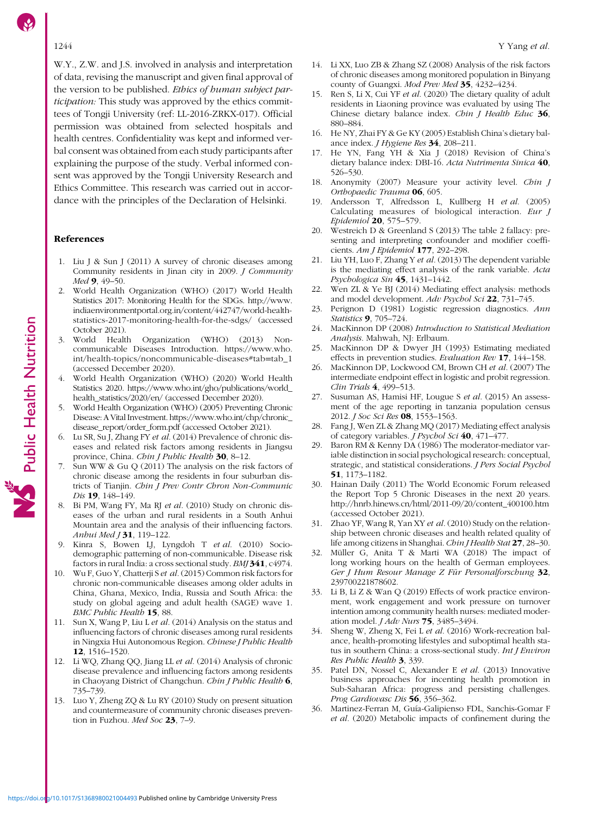<span id="page-11-0"></span>W.Y., Z.W. and J.S. involved in analysis and interpretation of data, revising the manuscript and given final approval of the version to be published. Ethics of human subject participation: This study was approved by the ethics committees of Tongji University (ref: LL-2016-ZRKX-017). Official permission was obtained from selected hospitals and health centres. Confidentiality was kept and informed verbal consent was obtained from each study participants after explaining the purpose of the study. Verbal informed consent was approved by the Tongji University Research and Ethics Committee. This research was carried out in accordance with the principles of the Declaration of Helsinki.

#### References

Public Health Nutrition

- 1. Liu J & Sun J (2011) A survey of chronic diseases among Community residents in Jinan city in 2009. J Community Med 9, 49-50.
- 2. World Health Organization (WHO) (2017) World Health Statistics 2017: Monitoring Health for the SDGs. [http://www.](http://www.indiaenvironmentportal.org.in/content/442747/world-health-statistics-2017-monitoring-health-for-the-sdgs/) [indiaenvironmentportal.org.in/content/442747/world-health](http://www.indiaenvironmentportal.org.in/content/442747/world-health-statistics-2017-monitoring-health-for-the-sdgs/)[statistics-2017-monitoring-health-for-the-sdgs/](http://www.indiaenvironmentportal.org.in/content/442747/world-health-statistics-2017-monitoring-health-for-the-sdgs/) (accessed October 2021).
- 3. World Health Organization (WHO) (2013) Noncommunicable Diseases Introduction. [https://www.who.](https://www.who.int/health-topics/noncommunicable-diseases#tab=tab_1) [int/health-topics/noncommunicable-diseases#tab](https://www.who.int/health-topics/noncommunicable-diseases#tab=tab_1)=[tab\\_1](https://www.who.int/health-topics/noncommunicable-diseases#tab=tab_1) (accessed December 2020).
- 4. World Health Organization (WHO) (2020) World Health Statistics 2020. [https://www.who.int/gho/publications/world\\_](https://www.who.int/gho/publications/world_health_statistics/2020/en/) [health\\_statistics/2020/en/](https://www.who.int/gho/publications/world_health_statistics/2020/en/) (accessed December 2020).
- 5. World Health Organization (WHO) (2005) Preventing Chronic Disease: A Vital Investment. [https://www.who.int/chp/chronic\\_](https://www.who.int/chp/chronic_disease_report/order_form.pdf) [disease\\_report/order\\_form.pdf](https://www.who.int/chp/chronic_disease_report/order_form.pdf) (accessed October 2021).
- 6. Lu SR, Su J, Zhang FY et al. (2014) Prevalence of chronic diseases and related risk factors among residents in Jiangsu province, China. Chin J Public Health 30, 8-12.
- Sun WW & Gu Q (2011) The analysis on the risk factors of chronic disease among the residents in four suburban districts of Tianjin. Chin J Prev Contr Chron Non-Communic Dis 19, 148-149.
- Bi PM, Wang FY, Ma RJ et al. (2010) Study on chronic diseases of the urban and rural residents in a South Anhui Mountain area and the analysis of their influencing factors. Anhui Med J 31, 119-122.
- 9. Kinra S, Bowen LJ, Lyngdoh T et al. (2010) Sociodemographic patterning of non-communicable. Disease risk factors in rural India: a cross sectional study. BMJ 341, c4974.
- 10. Wu F, Guo Y, Chatterji S et al. (2015) Common risk factors for chronic non-communicable diseases among older adults in China, Ghana, Mexico, India, Russia and South Africa: the study on global ageing and adult health (SAGE) wave 1. BMC Public Health 15, 88.
- 11. Sun X, Wang P, Liu L et al. (2014) Analysis on the status and influencing factors of chronic diseases among rural residents in Ningxia Hui Autonomous Region. Chinese J Public Health 12, 1516–1520.
- 12. Li WQ, Zhang QQ, Jiang LL et al. (2014) Analysis of chronic disease prevalence and influencing factors among residents in Chaoyang District of Changchun. Chin J Public Health 6, 735–739.
- 13. Luo Y, Zheng ZQ & Lu RY (2010) Study on present situation and countermeasure of community chronic diseases prevention in Fuzhou. Med Soc 23, 7-9.
- 14. Li XX, Luo ZB & Zhang SZ (2008) Analysis of the risk factors of chronic diseases among monitored population in Binyang county of Guangxi. Mod Prev Med 35, 4232–4234.
- 15. Ren S, Li X, Cui YF et al. (2020) The dietary quality of adult residents in Liaoning province was evaluated by using The Chinese dietary balance index. Chin J Health Educ 36, 880–884.
- 16. He NY, Zhai FY & Ge KY (2005) Establish China's dietary balance index. J Hygiene Res 34, 208–211.
- 17. He YN, Fang YH & Xia J (2018) Revision of China's dietary balance index: DBI-16. Acta Nutrimenta Sinica 40, 526–530.
- 18. Anonymity (2007) Measure your activity level. Chin J Orthopaedic Trauma 06, 605.
- 19. Andersson T, Alfredsson L, Kullberg H et al. (2005) Calculating measures of biological interaction. Eur J Epidemiol 20, 575–579.
- 20. Westreich D & Greenland S (2013) The table 2 fallacy: presenting and interpreting confounder and modifier coefficients. Am J Epidemiol 177, 292–298.
- 21. Liu YH, Luo F, Zhang Y et al. (2013) The dependent variable is the mediating effect analysis of the rank variable. Acta Psychologica Sin 45, 1431–1442.
- 22. Wen ZL & Ye BJ (2014) Mediating effect analysis: methods and model development. Adv Psychol Sci 22, 731–745.
- 23. Perignon D (1981) Logistic regression diagnostics. Ann Statistics **9**, 705-724.
- 24. MacKinnon DP (2008) Introduction to Statistical Mediation Analysis. Mahwah, NJ: Erlbaum.
- 25. MacKinnon DP & Dwyer JH (1993) Estimating mediated effects in prevention studies. Evaluation Rev 17, 144–158.
- 26. MacKinnon DP, Lockwood CM, Brown CH et al. (2007) The intermediate endpoint effect in logistic and probit regression. Clin Trials 4, 499–513.
- 27. Susuman AS, Hamisi HF, Lougue S et al. (2015) An assessment of the age reporting in tanzania population census 2012. J Soc Sci Res 08, 1553–1563.
- 28. Fang J, Wen ZL & Zhang MQ (2017) Mediating effect analysis of category variables. J Psychol Sci 40, 471–477.
- 29. Baron RM & Kenny DA (1986) The moderator-mediator variable distinction in social psychological research: conceptual, strategic, and statistical considerations. J Pers Social Psychol 51, 1173–1182.
- 30. Hainan Daily (2011) The World Economic Forum released the Report Top 5 Chronic Diseases in the next 20 years. [http://hnrb.hinews.cn/html/2011-09/20/content\\_400100.htm](http://hnrb.hinews.cn/html/2011-09/20/content_400100.htm) (accessed October 2021).
- 31. Zhao YF, Wang R, Yan XY et al. (2010) Study on the relationship between chronic diseases and health related quality of life among citizens in Shanghai. Chin J Health Stat 27, 28-30.
- 32. Müller G, Anita T & Marti WA (2018) The impact of long working hours on the health of German employees. Ger J Hum Resour Manage Z Für Personalforschung 32, 239700221878602.
- 33. Li B, Li Z & Wan Q (2019) Effects of work practice environment, work engagement and work pressure on turnover intention among community health nurses: mediated moderation model. J Adv Nurs 75, 3485–3494.
- 34. Sheng W, Zheng X, Fei L et al. (2016) Work-recreation balance, health-promoting lifestyles and suboptimal health status in southern China: a cross-sectional study. Int J Environ Res Public Health 3, 339.
- 35. Patel DN, Nossel C, Alexander E et al. (2013) Innovative business approaches for incenting health promotion in Sub-Saharan Africa: progress and persisting challenges. Prog Cardiovasc Dis 56, 356-362.
- 36. Martinez-Ferran M, Guía-Galipienso FDL, Sanchis-Gomar F et al. (2020) Metabolic impacts of confinement during the